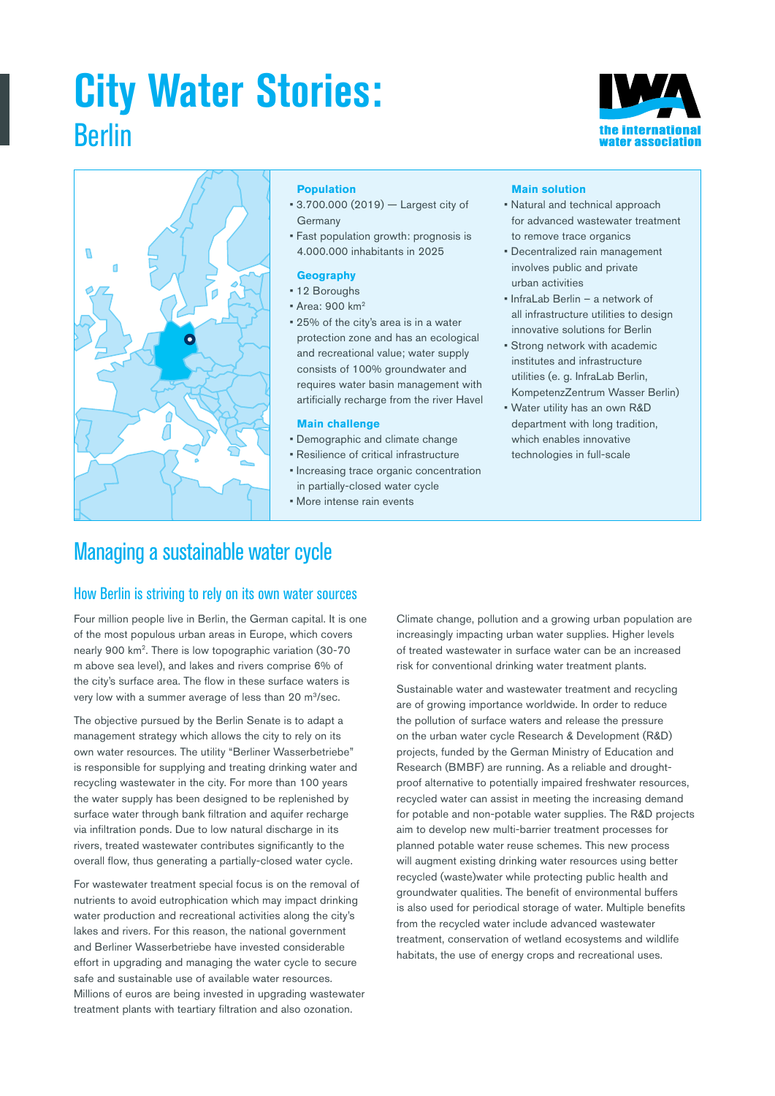# **City Water Stories:** Berlin





### **Population**

- 3.700.000 (2019) Largest city of Germany
- Fast population growth: prognosis is 4.000.000 inhabitants in 2025

### **Geography**

- 12 Boroughs
- Area: 900 km2
- 25% of the city's area is in a water protection zone and has an ecological and recreational value; water supply consists of 100% groundwater and requires water basin management with artificially recharge from the river Havel

### **Main challenge**

- Demographic and climate change
- Resilience of critical infrastructure
- Increasing trace organic concentration in partially-closed water cycle
- More intense rain events

#### **Main solution**

- Natural and technical approach for advanced wastewater treatment to remove trace organics
- Decentralized rain management involves public and private urban activities
- InfraLab Berlin a network of all infrastructure utilities to design innovative solutions for Berlin
- Strong network with academic institutes and infrastructure utilities (e. g. InfraLab Berlin, KompetenzZentrum Wasser Berlin)
- Water utility has an own R&D department with long tradition, which enables innovative technologies in full-scale

### Managing a sustainable water cycle

### How Berlin is striving to rely on its own water sources

Four million people live in Berlin, the German capital. It is one of the most populous urban areas in Europe, which covers nearly 900 km2. There is low topographic variation (30-70 m above sea level), and lakes and rivers comprise 6% of the city's surface area. The flow in these surface waters is very low with a summer average of less than 20 m<sup>3</sup>/sec.

The objective pursued by the Berlin Senate is to adapt a management strategy which allows the city to rely on its own water resources. The utility "Berliner Wasserbetriebe" is responsible for supplying and treating drinking water and recycling wastewater in the city. For more than 100 years the water supply has been designed to be replenished by surface water through bank filtration and aquifer recharge via infiltration ponds. Due to low natural discharge in its rivers, treated wastewater contributes significantly to the overall flow, thus generating a partially-closed water cycle.

For wastewater treatment special focus is on the removal of nutrients to avoid eutrophication which may impact drinking water production and recreational activities along the city's lakes and rivers. For this reason, the national government and Berliner Wasserbetriebe have invested considerable effort in upgrading and managing the water cycle to secure safe and sustainable use of available water resources. Millions of euros are being invested in upgrading wastewater treatment plants with teartiary filtration and also ozonation.

Climate change, pollution and a growing urban population are increasingly impacting urban water supplies. Higher levels of treated wastewater in surface water can be an increased risk for conventional drinking water treatment plants.

Sustainable water and wastewater treatment and recycling are of growing importance worldwide. In order to reduce the pollution of surface waters and release the pressure on the urban water cycle Research & Development (R&D) projects, funded by the German Ministry of Education and Research (BMBF) are running. As a reliable and droughtproof alternative to potentially impaired freshwater resources, recycled water can assist in meeting the increasing demand for potable and non-potable water supplies. The R&D projects aim to develop new multi-barrier treatment processes for planned potable water reuse schemes. This new process will augment existing drinking water resources using better recycled (waste)water while protecting public health and groundwater qualities. The benefit of environmental buffers is also used for periodical storage of water. Multiple benefits from the recycled water include advanced wastewater treatment, conservation of wetland ecosystems and wildlife habitats, the use of energy crops and recreational uses.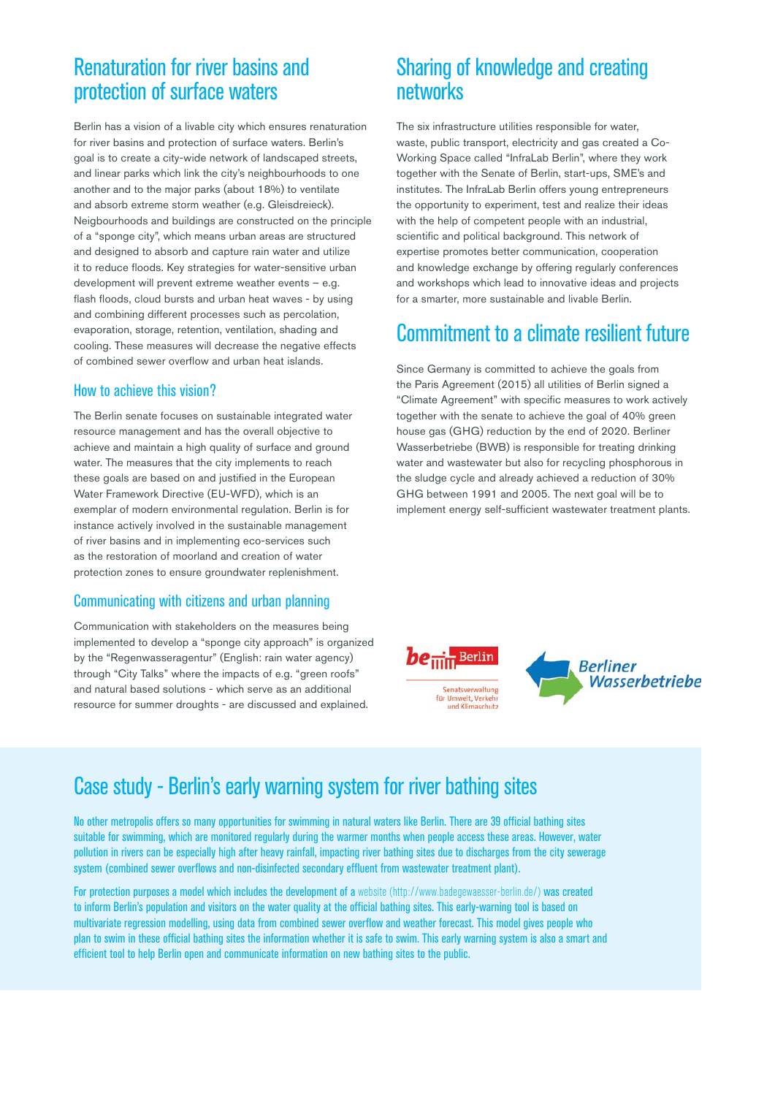### Renaturation for river basins and protection of surface waters

Berlin has a vision of a livable city which ensures renaturation for river basins and protection of surface waters. Berlin's goal is to create a city-wide network of landscaped streets, and linear parks which link the city's neighbourhoods to one another and to the major parks (about 18%) to ventilate and absorb extreme storm weather (e.g. Gleisdreieck). Neigbourhoods and buildings are constructed on the principle of a "sponge city", which means urban areas are structured and designed to absorb and capture rain water and utilize it to reduce floods. Key strategies for water-sensitive urban development will prevent extreme weather events – e.g. flash floods, cloud bursts and urban heat waves - by using and combining different processes such as percolation, evaporation, storage, retention, ventilation, shading and cooling. These measures will decrease the negative effects of combined sewer overflow and urban heat islands.

### How to achieve this vision?

The Berlin senate focuses on sustainable integrated water resource management and has the overall objective to achieve and maintain a high quality of surface and ground water. The measures that the city implements to reach these goals are based on and justified in the European Water Framework Directive (EU-WFD), which is an exemplar of modern environmental regulation. Berlin is for instance actively involved in the sustainable management of river basins and in implementing eco-services such as the restoration of moorland and creation of water protection zones to ensure groundwater replenishment.

### Communicating with citizens and urban planning

Communication with stakeholders on the measures being implemented to develop a "sponge city approach" is organized by the "Regenwasseragentur" (English: rain water agency) through "City Talks" where the impacts of e.g. "green roofs" and natural based solutions - which serve as an additional resource for summer droughts - are discussed and explained.

### Sharing of knowledge and creating networks

The six infrastructure utilities responsible for water, waste, public transport, electricity and gas created a Co-Working Space called "InfraLab Berlin", where they work together with the Senate of Berlin, start-ups, SME's and institutes. The InfraLab Berlin offers young entrepreneurs the opportunity to experiment, test and realize their ideas with the help of competent people with an industrial, scientific and political background. This network of expertise promotes better communication, cooperation and knowledge exchange by offering regularly conferences and workshops which lead to innovative ideas and projects for a smarter, more sustainable and livable Berlin.

## Commitment to a climate resilient future

Since Germany is committed to achieve the goals from the Paris Agreement (2015) all utilities of Berlin signed a "Climate Agreement" with specific measures to work actively together with the senate to achieve the goal of 40% green house gas (GHG) reduction by the end of 2020. Berliner Wasserbetriebe (BWB) is responsible for treating drinking water and wastewater but also for recycling phosphorous in the sludge cycle and already achieved a reduction of 30% GHG between 1991 and 2005. The next goal will be to implement energy self-sufficient wastewater treatment plants.



## Case study - Berlin's early warning system for river bathing sites

No other metropolis offers so many opportunities for swimming in natural waters like Berlin. There are 39 official bathing sites suitable for swimming, which are monitored regularly during the warmer months when people access these areas. However, water pollution in rivers can be especially high after heavy rainfall, impacting river bathing sites due to discharges from the city sewerage system (combined sewer overflows and non-disinfected secondary effluent from wastewater treatment plant).

For protection purposes a model which includes the development of a [website \(http://www.badegewaesser-berlin.de/\)](http://www.badegewaesser-berlin.de/) was created to inform Berlin's population and visitors on the water quality at the official bathing sites. This early-warning tool is based on multivariate regression modelling, using data from combined sewer overflow and weather forecast. This model gives people who plan to swim in these official bathing sites the information whether it is safe to swim. This early warning system is also a smart and efficient tool to help Berlin open and communicate information on new bathing sites to the public.